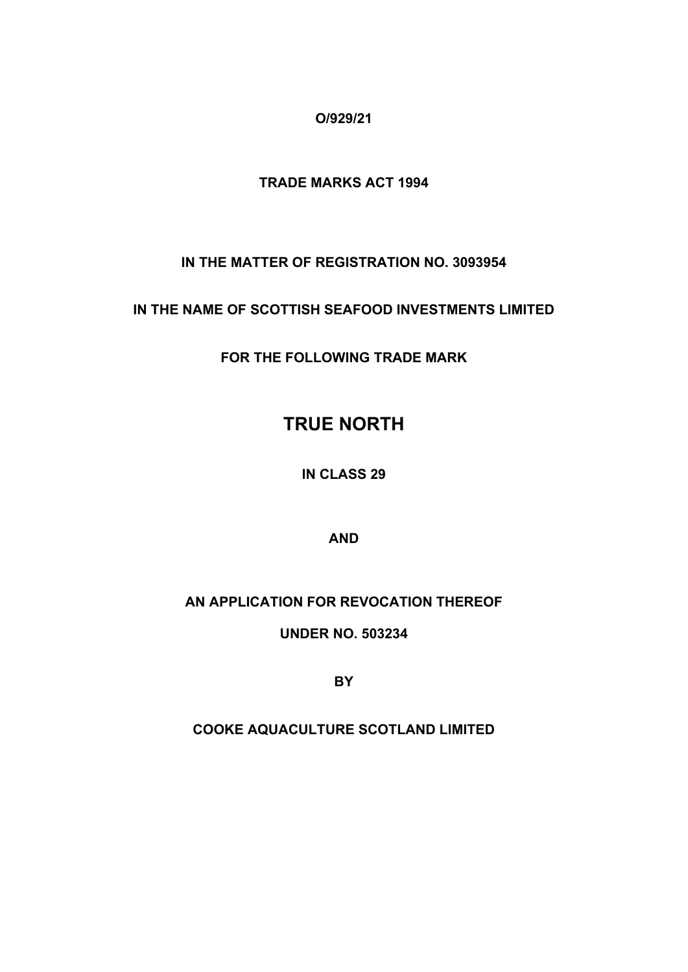**O/929/21**

# **TRADE MARKS ACT 1994**

**IN THE MATTER OF REGISTRATION NO. 3093954**

**IN THE NAME OF SCOTTISH SEAFOOD INVESTMENTS LIMITED**

**FOR THE FOLLOWING TRADE MARK**

# **TRUE NORTH**

**IN CLASS 29**

**AND**

# **AN APPLICATION FOR REVOCATION THEREOF**

**UNDER NO. 503234**

**BY**

**COOKE AQUACULTURE SCOTLAND LIMITED**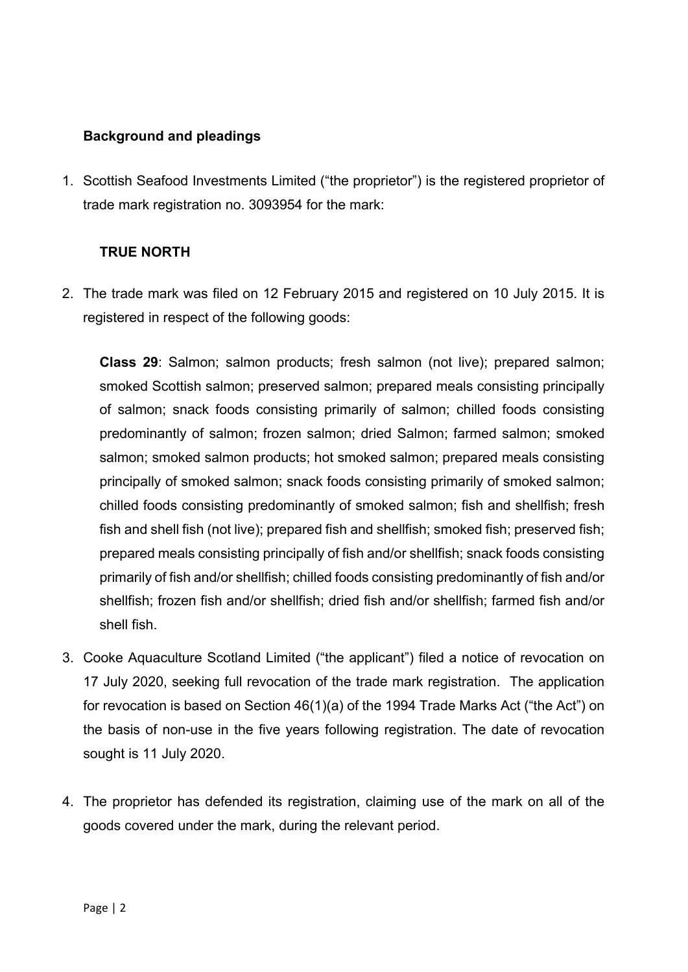# **Background and pleadings**

1. Scottish Seafood Investments Limited ("the proprietor") is the registered proprietor of trade mark registration no. 3093954 for the mark:

# **TRUE NORTH**

2. The trade mark was filed on 12 February 2015 and registered on 10 July 2015. It is registered in respect of the following goods:

**Class 29**: Salmon; salmon products; fresh salmon (not live); prepared salmon; smoked Scottish salmon; preserved salmon; prepared meals consisting principally of salmon; snack foods consisting primarily of salmon; chilled foods consisting predominantly of salmon; frozen salmon; dried Salmon; farmed salmon; smoked salmon; smoked salmon products; hot smoked salmon; prepared meals consisting principally of smoked salmon; snack foods consisting primarily of smoked salmon; chilled foods consisting predominantly of smoked salmon; fish and shellfish; fresh fish and shell fish (not live); prepared fish and shellfish; smoked fish; preserved fish; prepared meals consisting principally of fish and/or shellfish; snack foods consisting primarily of fish and/or shellfish; chilled foods consisting predominantly of fish and/or shellfish; frozen fish and/or shellfish; dried fish and/or shellfish; farmed fish and/or shell fish.

- 3. Cooke Aquaculture Scotland Limited ("the applicant") filed a notice of revocation on 17 July 2020, seeking full revocation of the trade mark registration. The application for revocation is based on Section 46(1)(a) of the 1994 Trade Marks Act ("the Act") on the basis of non-use in the five years following registration. The date of revocation sought is 11 July 2020.
- 4. The proprietor has defended its registration, claiming use of the mark on all of the goods covered under the mark, during the relevant period.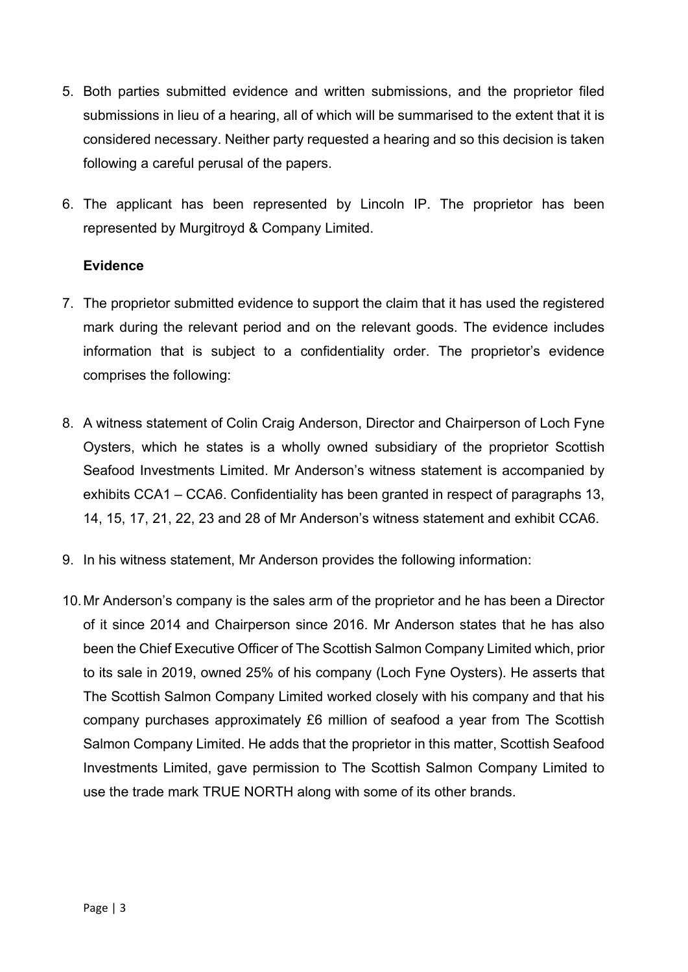- 5. Both parties submitted evidence and written submissions, and the proprietor filed submissions in lieu of a hearing, all of which will be summarised to the extent that it is considered necessary. Neither party requested a hearing and so this decision is taken following a careful perusal of the papers.
- 6. The applicant has been represented by Lincoln IP. The proprietor has been represented by Murgitroyd & Company Limited.

### **Evidence**

- 7. The proprietor submitted evidence to support the claim that it has used the registered mark during the relevant period and on the relevant goods. The evidence includes information that is subject to a confidentiality order. The proprietor's evidence comprises the following:
- 8. A witness statement of Colin Craig Anderson, Director and Chairperson of Loch Fyne Oysters, which he states is a wholly owned subsidiary of the proprietor Scottish Seafood Investments Limited. Mr Anderson's witness statement is accompanied by exhibits CCA1 – CCA6. Confidentiality has been granted in respect of paragraphs 13, 14, 15, 17, 21, 22, 23 and 28 of Mr Anderson's witness statement and exhibit CCA6.
- 9. In his witness statement, Mr Anderson provides the following information:
- 10.Mr Anderson's company is the sales arm of the proprietor and he has been a Director of it since 2014 and Chairperson since 2016. Mr Anderson states that he has also been the Chief Executive Officer of The Scottish Salmon Company Limited which, prior to its sale in 2019, owned 25% of his company (Loch Fyne Oysters). He asserts that The Scottish Salmon Company Limited worked closely with his company and that his company purchases approximately £6 million of seafood a year from The Scottish Salmon Company Limited. He adds that the proprietor in this matter, Scottish Seafood Investments Limited, gave permission to The Scottish Salmon Company Limited to use the trade mark TRUE NORTH along with some of its other brands.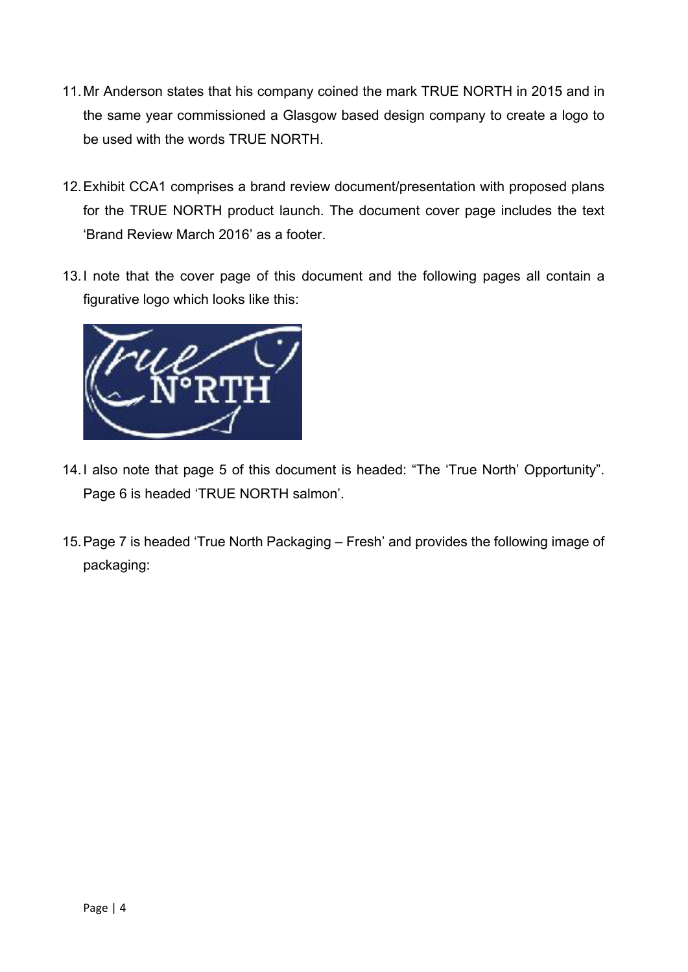- 11.Mr Anderson states that his company coined the mark TRUE NORTH in 2015 and in the same year commissioned a Glasgow based design company to create a logo to be used with the words TRUE NORTH.
- 12.Exhibit CCA1 comprises a brand review document/presentation with proposed plans for the TRUE NORTH product launch. The document cover page includes the text 'Brand Review March 2016' as a footer.
- 13.I note that the cover page of this document and the following pages all contain a figurative logo which looks like this:



- 14.I also note that page 5 of this document is headed: "The 'True North' Opportunity". Page 6 is headed 'TRUE NORTH salmon'.
- 15.Page 7 is headed 'True North Packaging Fresh' and provides the following image of packaging: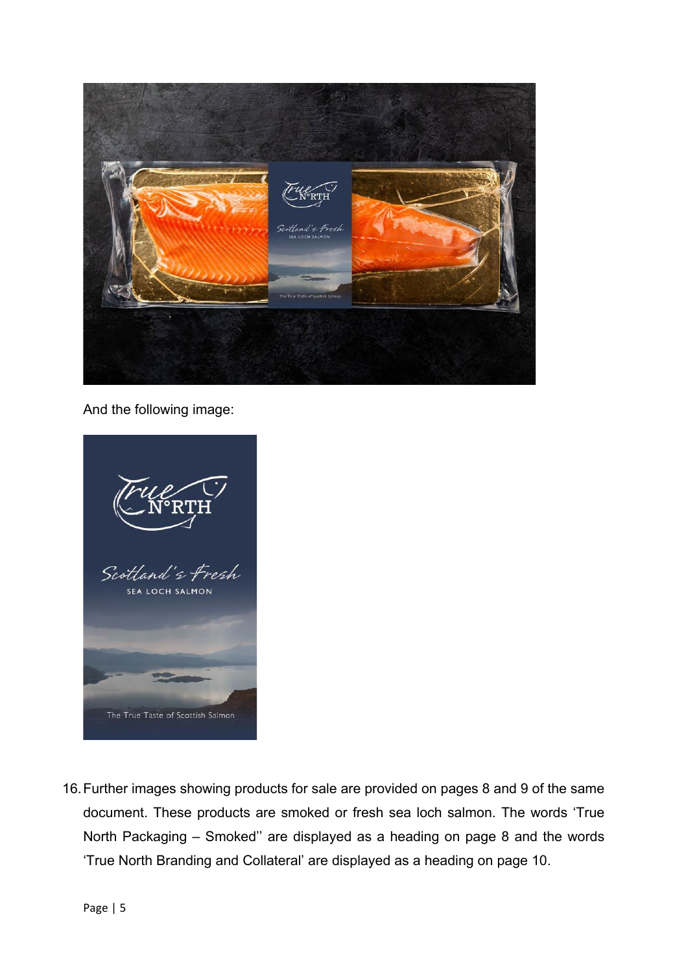

And the following image:



16.Further images showing products for sale are provided on pages 8 and 9 of the same document. These products are smoked or fresh sea loch salmon. The words 'True North Packaging – Smoked'' are displayed as a heading on page 8 and the words 'True North Branding and Collateral' are displayed as a heading on page 10.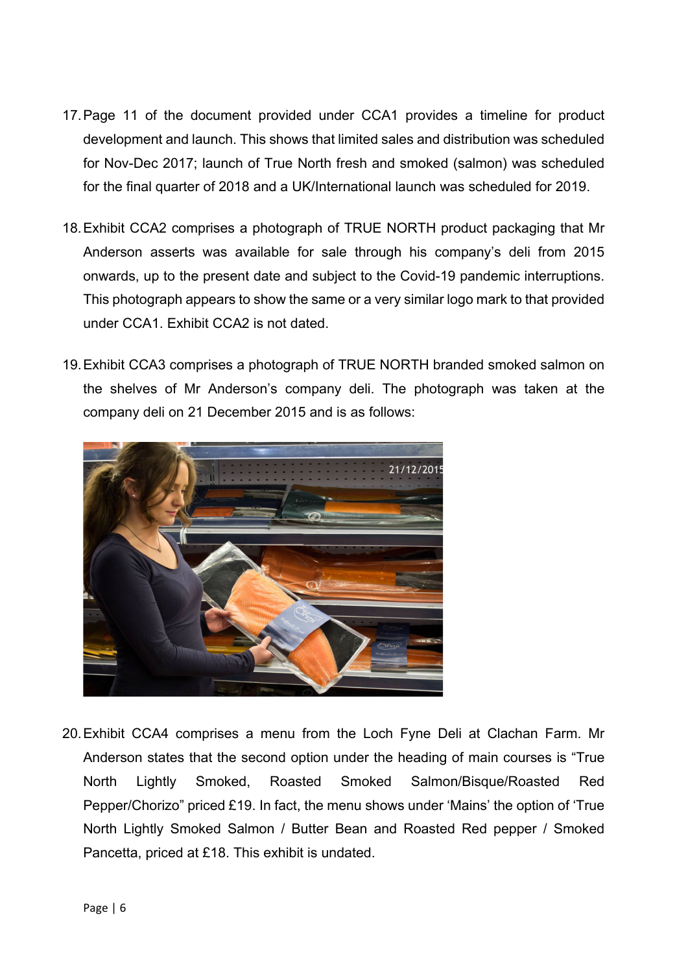- 17.Page 11 of the document provided under CCA1 provides a timeline for product development and launch. This shows that limited sales and distribution was scheduled for Nov-Dec 2017; launch of True North fresh and smoked (salmon) was scheduled for the final quarter of 2018 and a UK/International launch was scheduled for 2019.
- 18.Exhibit CCA2 comprises a photograph of TRUE NORTH product packaging that Mr Anderson asserts was available for sale through his company's deli from 2015 onwards, up to the present date and subject to the Covid-19 pandemic interruptions. This photograph appears to show the same or a very similar logo mark to that provided under CCA1. Exhibit CCA2 is not dated.
- 19.Exhibit CCA3 comprises a photograph of TRUE NORTH branded smoked salmon on the shelves of Mr Anderson's company deli. The photograph was taken at the company deli on 21 December 2015 and is as follows:



20.Exhibit CCA4 comprises a menu from the Loch Fyne Deli at Clachan Farm. Mr Anderson states that the second option under the heading of main courses is "True North Lightly Smoked, Roasted Smoked Salmon/Bisque/Roasted Red Pepper/Chorizo" priced £19. In fact, the menu shows under 'Mains' the option of 'True North Lightly Smoked Salmon / Butter Bean and Roasted Red pepper / Smoked Pancetta, priced at £18. This exhibit is undated.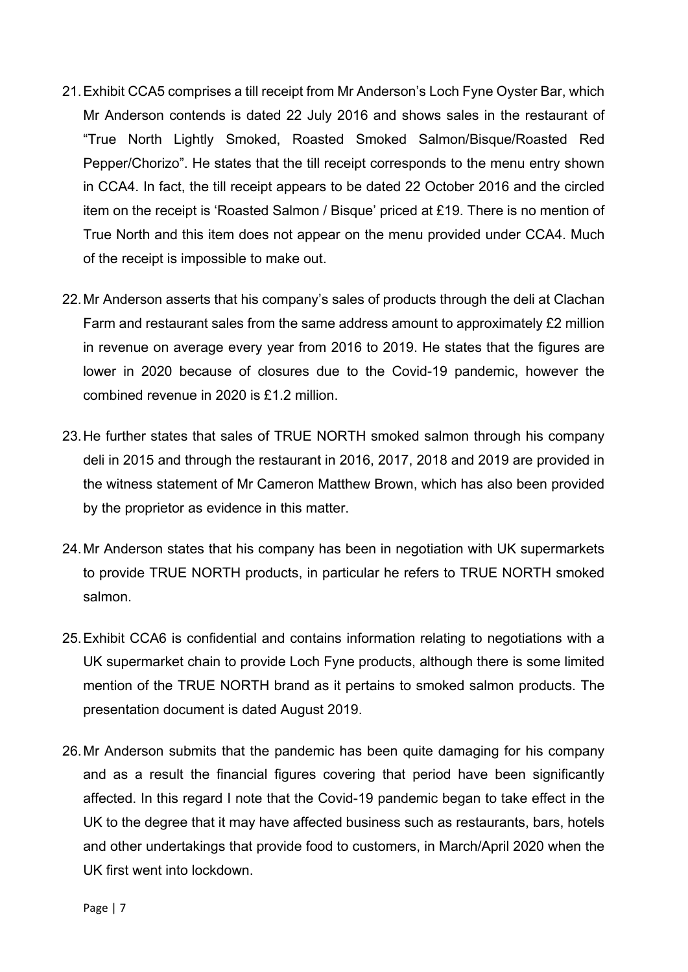- 21.Exhibit CCA5 comprises a till receipt from Mr Anderson's Loch Fyne Oyster Bar, which Mr Anderson contends is dated 22 July 2016 and shows sales in the restaurant of "True North Lightly Smoked, Roasted Smoked Salmon/Bisque/Roasted Red Pepper/Chorizo". He states that the till receipt corresponds to the menu entry shown in CCA4. In fact, the till receipt appears to be dated 22 October 2016 and the circled item on the receipt is 'Roasted Salmon / Bisque' priced at £19. There is no mention of True North and this item does not appear on the menu provided under CCA4. Much of the receipt is impossible to make out.
- 22.Mr Anderson asserts that his company's sales of products through the deli at Clachan Farm and restaurant sales from the same address amount to approximately £2 million in revenue on average every year from 2016 to 2019. He states that the figures are lower in 2020 because of closures due to the Covid-19 pandemic, however the combined revenue in 2020 is £1.2 million.
- 23.He further states that sales of TRUE NORTH smoked salmon through his company deli in 2015 and through the restaurant in 2016, 2017, 2018 and 2019 are provided in the witness statement of Mr Cameron Matthew Brown, which has also been provided by the proprietor as evidence in this matter.
- 24.Mr Anderson states that his company has been in negotiation with UK supermarkets to provide TRUE NORTH products, in particular he refers to TRUE NORTH smoked salmon.
- 25.Exhibit CCA6 is confidential and contains information relating to negotiations with a UK supermarket chain to provide Loch Fyne products, although there is some limited mention of the TRUE NORTH brand as it pertains to smoked salmon products. The presentation document is dated August 2019.
- 26.Mr Anderson submits that the pandemic has been quite damaging for his company and as a result the financial figures covering that period have been significantly affected. In this regard I note that the Covid-19 pandemic began to take effect in the UK to the degree that it may have affected business such as restaurants, bars, hotels and other undertakings that provide food to customers, in March/April 2020 when the UK first went into lockdown.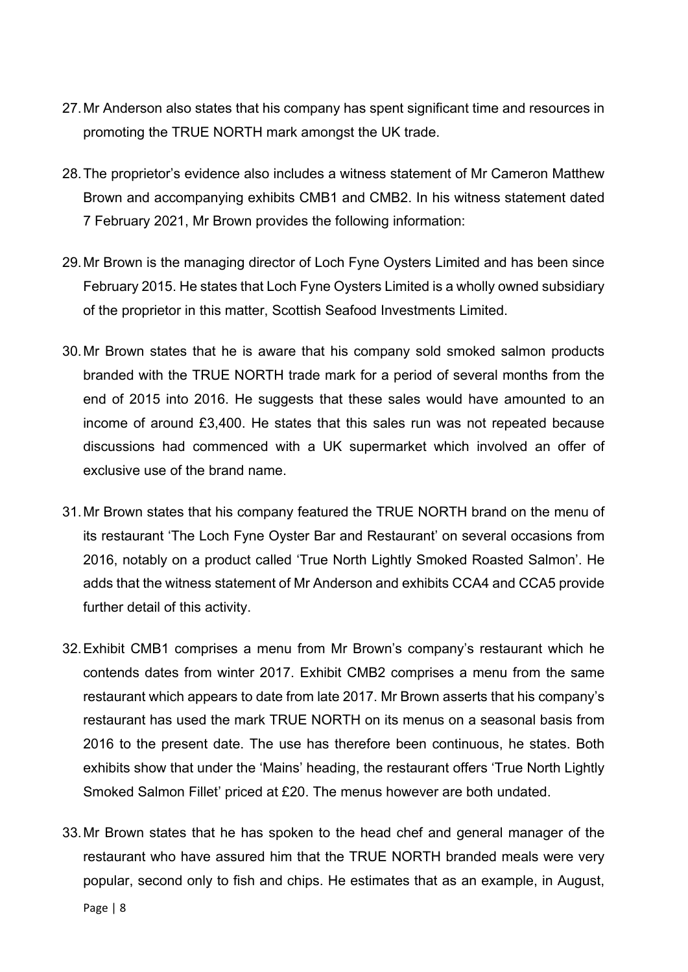- 27.Mr Anderson also states that his company has spent significant time and resources in promoting the TRUE NORTH mark amongst the UK trade.
- 28.The proprietor's evidence also includes a witness statement of Mr Cameron Matthew Brown and accompanying exhibits CMB1 and CMB2. In his witness statement dated 7 February 2021, Mr Brown provides the following information:
- 29.Mr Brown is the managing director of Loch Fyne Oysters Limited and has been since February 2015. He states that Loch Fyne Oysters Limited is a wholly owned subsidiary of the proprietor in this matter, Scottish Seafood Investments Limited.
- 30.Mr Brown states that he is aware that his company sold smoked salmon products branded with the TRUE NORTH trade mark for a period of several months from the end of 2015 into 2016. He suggests that these sales would have amounted to an income of around £3,400. He states that this sales run was not repeated because discussions had commenced with a UK supermarket which involved an offer of exclusive use of the brand name.
- 31.Mr Brown states that his company featured the TRUE NORTH brand on the menu of its restaurant 'The Loch Fyne Oyster Bar and Restaurant' on several occasions from 2016, notably on a product called 'True North Lightly Smoked Roasted Salmon'. He adds that the witness statement of Mr Anderson and exhibits CCA4 and CCA5 provide further detail of this activity.
- 32.Exhibit CMB1 comprises a menu from Mr Brown's company's restaurant which he contends dates from winter 2017. Exhibit CMB2 comprises a menu from the same restaurant which appears to date from late 2017. Mr Brown asserts that his company's restaurant has used the mark TRUE NORTH on its menus on a seasonal basis from 2016 to the present date. The use has therefore been continuous, he states. Both exhibits show that under the 'Mains' heading, the restaurant offers 'True North Lightly Smoked Salmon Fillet' priced at £20. The menus however are both undated.
- 33.Mr Brown states that he has spoken to the head chef and general manager of the restaurant who have assured him that the TRUE NORTH branded meals were very popular, second only to fish and chips. He estimates that as an example, in August,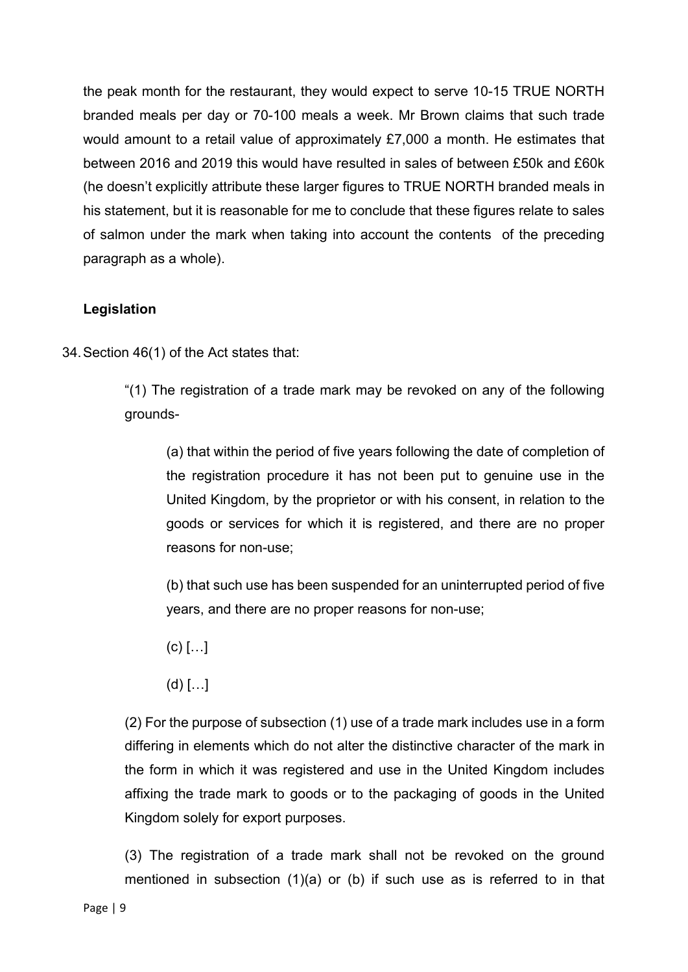the peak month for the restaurant, they would expect to serve 10-15 TRUE NORTH branded meals per day or 70-100 meals a week. Mr Brown claims that such trade would amount to a retail value of approximately £7,000 a month. He estimates that between 2016 and 2019 this would have resulted in sales of between £50k and £60k (he doesn't explicitly attribute these larger figures to TRUE NORTH branded meals in his statement, but it is reasonable for me to conclude that these figures relate to sales of salmon under the mark when taking into account the contents of the preceding paragraph as a whole).

## **Legislation**

34.Section 46(1) of the Act states that:

"(1) The registration of a trade mark may be revoked on any of the following grounds-

(a) that within the period of five years following the date of completion of the registration procedure it has not been put to genuine use in the United Kingdom, by the proprietor or with his consent, in relation to the goods or services for which it is registered, and there are no proper reasons for non-use;

(b) that such use has been suspended for an uninterrupted period of five years, and there are no proper reasons for non-use;

- $(c)$   $[...]$
- $(d)$   $[...]$

(2) For the purpose of subsection (1) use of a trade mark includes use in a form differing in elements which do not alter the distinctive character of the mark in the form in which it was registered and use in the United Kingdom includes affixing the trade mark to goods or to the packaging of goods in the United Kingdom solely for export purposes.

(3) The registration of a trade mark shall not be revoked on the ground mentioned in subsection (1)(a) or (b) if such use as is referred to in that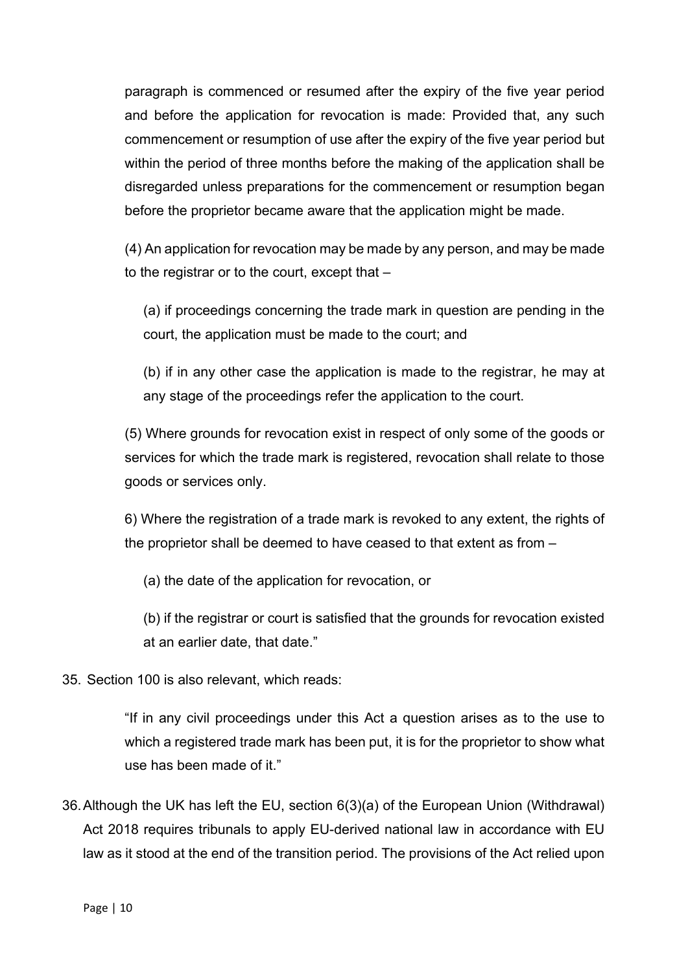paragraph is commenced or resumed after the expiry of the five year period and before the application for revocation is made: Provided that, any such commencement or resumption of use after the expiry of the five year period but within the period of three months before the making of the application shall be disregarded unless preparations for the commencement or resumption began before the proprietor became aware that the application might be made.

(4) An application for revocation may be made by any person, and may be made to the registrar or to the court, except that –

(a) if proceedings concerning the trade mark in question are pending in the court, the application must be made to the court; and

(b) if in any other case the application is made to the registrar, he may at any stage of the proceedings refer the application to the court.

(5) Where grounds for revocation exist in respect of only some of the goods or services for which the trade mark is registered, revocation shall relate to those goods or services only.

6) Where the registration of a trade mark is revoked to any extent, the rights of the proprietor shall be deemed to have ceased to that extent as from –

(a) the date of the application for revocation, or

(b) if the registrar or court is satisfied that the grounds for revocation existed at an earlier date, that date."

35. Section 100 is also relevant, which reads:

"If in any civil proceedings under this Act a question arises as to the use to which a registered trade mark has been put, it is for the proprietor to show what use has been made of it."

36.Although the UK has left the EU, section 6(3)(a) of the European Union (Withdrawal) Act 2018 requires tribunals to apply EU-derived national law in accordance with EU law as it stood at the end of the transition period. The provisions of the Act relied upon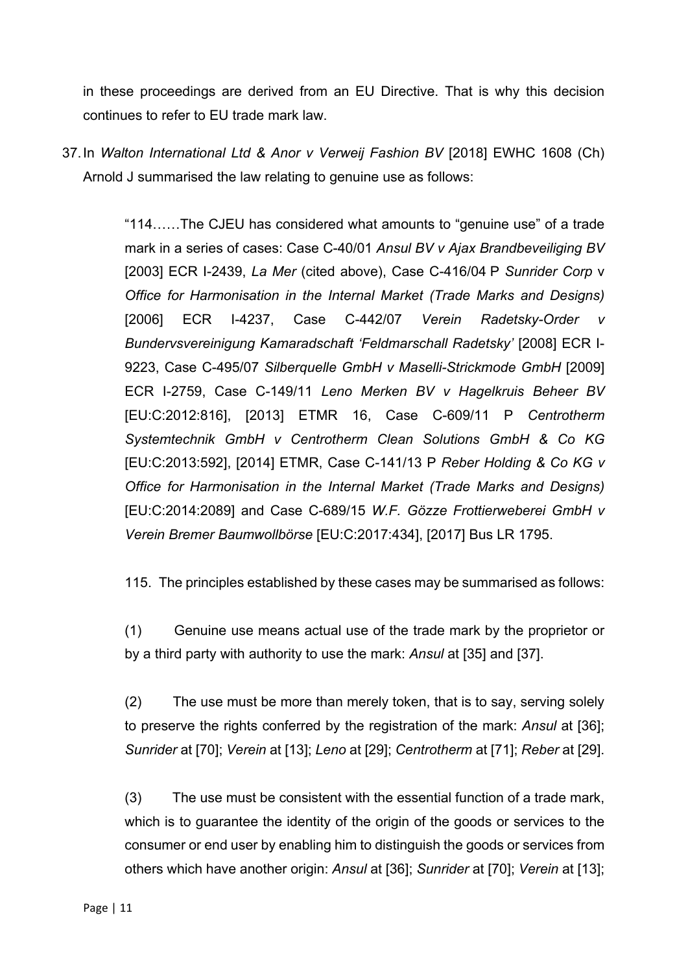in these proceedings are derived from an EU Directive. That is why this decision continues to refer to EU trade mark law.

37.In *Walton International Ltd & Anor v Verweij Fashion BV* [2018] EWHC 1608 (Ch) Arnold J summarised the law relating to genuine use as follows:

> "114……The CJEU has considered what amounts to "genuine use" of a trade mark in a series of cases: Case C-40/01 *Ansul BV v Ajax Brandbeveiliging BV* [2003] ECR I-2439, *La Mer* (cited above), Case C-416/04 P *Sunrider Corp* v *Office for Harmonisation in the Internal Market (Trade Marks and Designs)*  [2006] ECR I-4237, Case C-442/07 *Verein Radetsky-Order v Bundervsvereinigung Kamaradschaft 'Feldmarschall Radetsky'* [2008] ECR I-9223, Case C-495/07 *Silberquelle GmbH v Maselli-Strickmode GmbH* [2009] ECR I-2759, Case C-149/11 *Leno Merken BV v Hagelkruis Beheer BV* [EU:C:2012:816], [2013] ETMR 16, Case C-609/11 P *Centrotherm Systemtechnik GmbH v Centrotherm Clean Solutions GmbH & Co KG* [EU:C:2013:592], [2014] ETMR, Case C-141/13 P *Reber Holding & Co KG v Office for Harmonisation in the Internal Market (Trade Marks and Designs)*  [EU:C:2014:2089] and Case C-689/15 *W.F. Gözze Frottierweberei GmbH v Verein Bremer Baumwollbörse* [EU:C:2017:434], [2017] Bus LR 1795.

> 115. The principles established by these cases may be summarised as follows:

(1) Genuine use means actual use of the trade mark by the proprietor or by a third party with authority to use the mark: *Ansul* at [35] and [37].

(2) The use must be more than merely token, that is to say, serving solely to preserve the rights conferred by the registration of the mark: *Ansul* at [36]; *Sunrider* at [70]; *Verein* at [13]; *Leno* at [29]; *Centrotherm* at [71]; *Reber* at [29].

(3) The use must be consistent with the essential function of a trade mark, which is to guarantee the identity of the origin of the goods or services to the consumer or end user by enabling him to distinguish the goods or services from others which have another origin: *Ansul* at [36]; *Sunrider* at [70]; *Verein* at [13];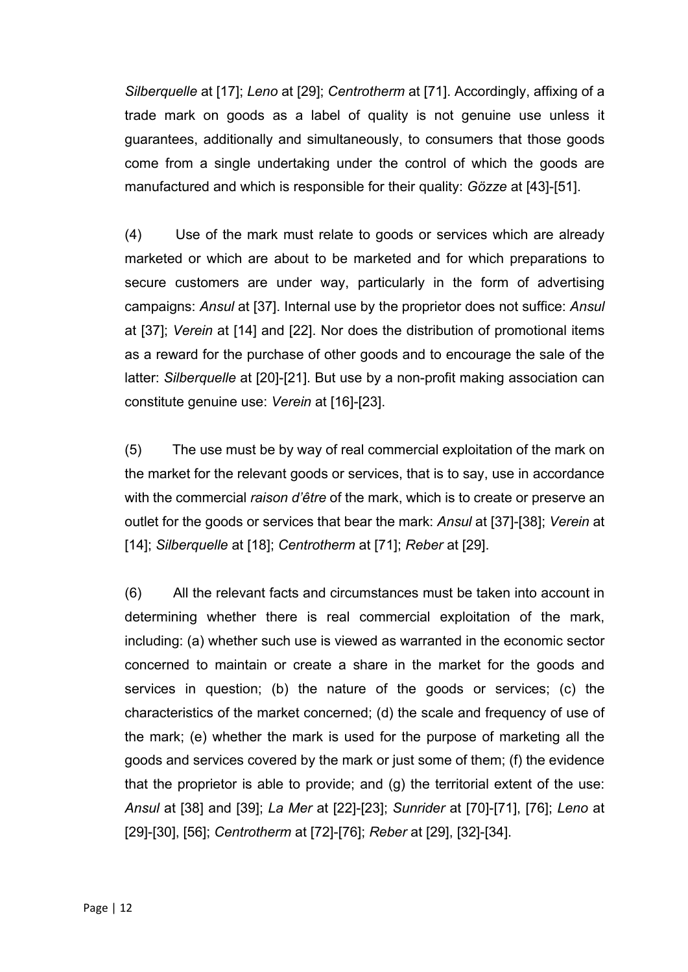*Silberquelle* at [17]; *Leno* at [29]; *Centrotherm* at [71]. Accordingly, affixing of a trade mark on goods as a label of quality is not genuine use unless it guarantees, additionally and simultaneously, to consumers that those goods come from a single undertaking under the control of which the goods are manufactured and which is responsible for their quality: *Gözze* at [43]-[51].

(4) Use of the mark must relate to goods or services which are already marketed or which are about to be marketed and for which preparations to secure customers are under way, particularly in the form of advertising campaigns: *Ansul* at [37]. Internal use by the proprietor does not suffice: *Ansul* at [37]; *Verein* at [14] and [22]. Nor does the distribution of promotional items as a reward for the purchase of other goods and to encourage the sale of the latter: *Silberquelle* at [20]-[21]. But use by a non-profit making association can constitute genuine use: *Verein* at [16]-[23].

(5) The use must be by way of real commercial exploitation of the mark on the market for the relevant goods or services, that is to say, use in accordance with the commercial *raison d'être* of the mark, which is to create or preserve an outlet for the goods or services that bear the mark: *Ansul* at [37]-[38]; *Verein* at [14]; *Silberquelle* at [18]; *Centrotherm* at [71]; *Reber* at [29].

(6) All the relevant facts and circumstances must be taken into account in determining whether there is real commercial exploitation of the mark, including: (a) whether such use is viewed as warranted in the economic sector concerned to maintain or create a share in the market for the goods and services in question; (b) the nature of the goods or services; (c) the characteristics of the market concerned; (d) the scale and frequency of use of the mark; (e) whether the mark is used for the purpose of marketing all the goods and services covered by the mark or just some of them; (f) the evidence that the proprietor is able to provide; and (g) the territorial extent of the use: *Ansul* at [38] and [39]; *La Mer* at [22]-[23]; *Sunrider* at [70]-[71], [76]; *Leno* at [29]-[30], [56]; *Centrotherm* at [72]-[76]; *Reber* at [29], [32]-[34].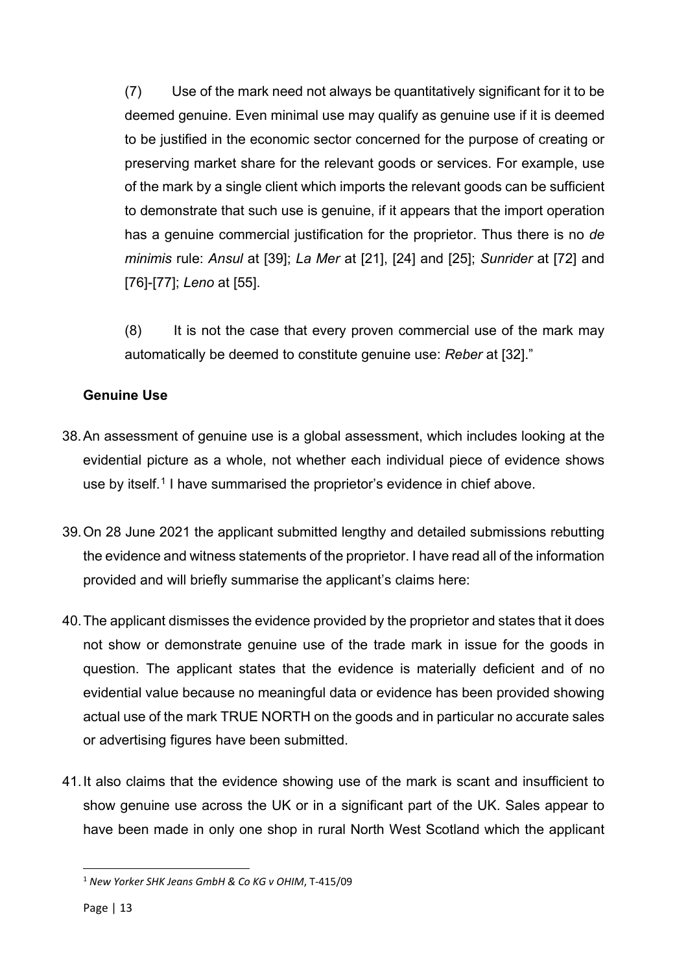(7) Use of the mark need not always be quantitatively significant for it to be deemed genuine. Even minimal use may qualify as genuine use if it is deemed to be justified in the economic sector concerned for the purpose of creating or preserving market share for the relevant goods or services. For example, use of the mark by a single client which imports the relevant goods can be sufficient to demonstrate that such use is genuine, if it appears that the import operation has a genuine commercial justification for the proprietor. Thus there is no *de minimis* rule: *Ansul* at [39]; *La Mer* at [21], [24] and [25]; *Sunrider* at [72] and [76]-[77]; *Leno* at [55].

(8) It is not the case that every proven commercial use of the mark may automatically be deemed to constitute genuine use: *Reber* at [32]."

### **Genuine Use**

- 38.An assessment of genuine use is a global assessment, which includes looking at the evidential picture as a whole, not whether each individual piece of evidence shows use by itself. [1](#page-12-0) I have summarised the proprietor's evidence in chief above.
- 39.On 28 June 2021 the applicant submitted lengthy and detailed submissions rebutting the evidence and witness statements of the proprietor. I have read all of the information provided and will briefly summarise the applicant's claims here:
- 40.The applicant dismisses the evidence provided by the proprietor and states that it does not show or demonstrate genuine use of the trade mark in issue for the goods in question. The applicant states that the evidence is materially deficient and of no evidential value because no meaningful data or evidence has been provided showing actual use of the mark TRUE NORTH on the goods and in particular no accurate sales or advertising figures have been submitted.
- 41.It also claims that the evidence showing use of the mark is scant and insufficient to show genuine use across the UK or in a significant part of the UK. Sales appear to have been made in only one shop in rural North West Scotland which the applicant

<span id="page-12-0"></span><sup>1</sup> *New Yorker SHK Jeans GmbH & Co KG v OHIM*, T-415/09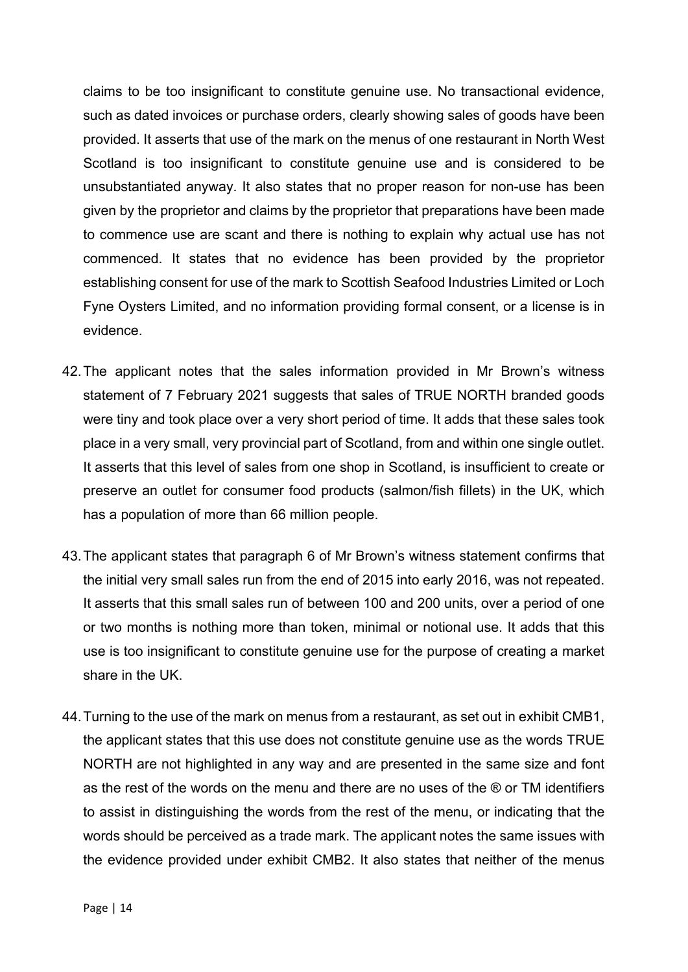claims to be too insignificant to constitute genuine use. No transactional evidence, such as dated invoices or purchase orders, clearly showing sales of goods have been provided. It asserts that use of the mark on the menus of one restaurant in North West Scotland is too insignificant to constitute genuine use and is considered to be unsubstantiated anyway. It also states that no proper reason for non-use has been given by the proprietor and claims by the proprietor that preparations have been made to commence use are scant and there is nothing to explain why actual use has not commenced. It states that no evidence has been provided by the proprietor establishing consent for use of the mark to Scottish Seafood Industries Limited or Loch Fyne Oysters Limited, and no information providing formal consent, or a license is in evidence.

- 42.The applicant notes that the sales information provided in Mr Brown's witness statement of 7 February 2021 suggests that sales of TRUE NORTH branded goods were tiny and took place over a very short period of time. It adds that these sales took place in a very small, very provincial part of Scotland, from and within one single outlet. It asserts that this level of sales from one shop in Scotland, is insufficient to create or preserve an outlet for consumer food products (salmon/fish fillets) in the UK, which has a population of more than 66 million people.
- 43.The applicant states that paragraph 6 of Mr Brown's witness statement confirms that the initial very small sales run from the end of 2015 into early 2016, was not repeated. It asserts that this small sales run of between 100 and 200 units, over a period of one or two months is nothing more than token, minimal or notional use. It adds that this use is too insignificant to constitute genuine use for the purpose of creating a market share in the UK.
- 44.Turning to the use of the mark on menus from a restaurant, as set out in exhibit CMB1, the applicant states that this use does not constitute genuine use as the words TRUE NORTH are not highlighted in any way and are presented in the same size and font as the rest of the words on the menu and there are no uses of the ® or TM identifiers to assist in distinguishing the words from the rest of the menu, or indicating that the words should be perceived as a trade mark. The applicant notes the same issues with the evidence provided under exhibit CMB2. It also states that neither of the menus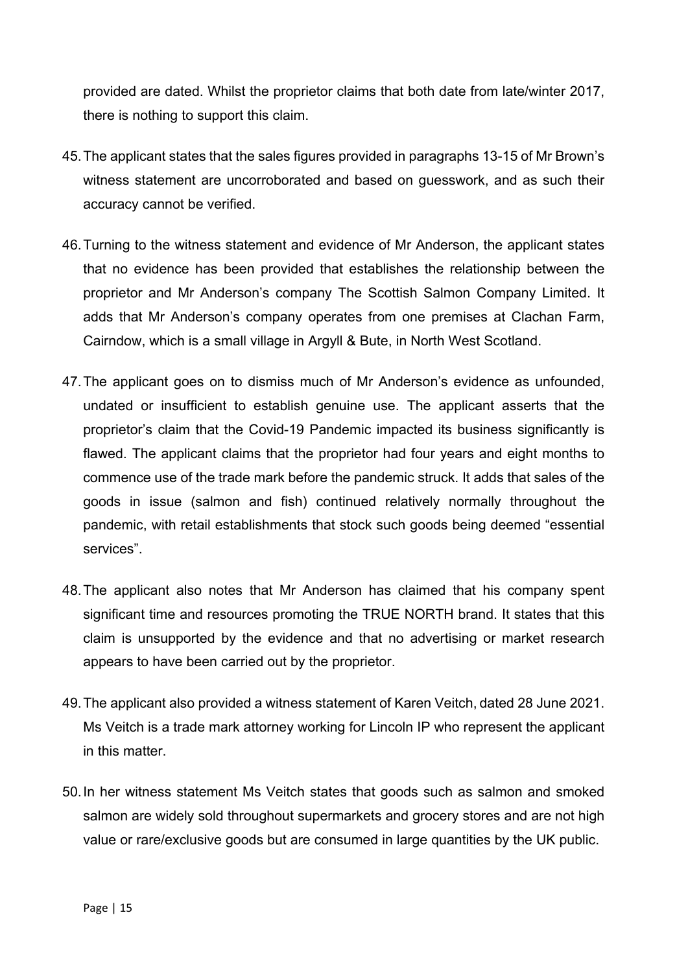provided are dated. Whilst the proprietor claims that both date from late/winter 2017, there is nothing to support this claim.

- 45.The applicant states that the sales figures provided in paragraphs 13-15 of Mr Brown's witness statement are uncorroborated and based on guesswork, and as such their accuracy cannot be verified.
- 46.Turning to the witness statement and evidence of Mr Anderson, the applicant states that no evidence has been provided that establishes the relationship between the proprietor and Mr Anderson's company The Scottish Salmon Company Limited. It adds that Mr Anderson's company operates from one premises at Clachan Farm, Cairndow, which is a small village in Argyll & Bute, in North West Scotland.
- 47.The applicant goes on to dismiss much of Mr Anderson's evidence as unfounded, undated or insufficient to establish genuine use. The applicant asserts that the proprietor's claim that the Covid-19 Pandemic impacted its business significantly is flawed. The applicant claims that the proprietor had four years and eight months to commence use of the trade mark before the pandemic struck. It adds that sales of the goods in issue (salmon and fish) continued relatively normally throughout the pandemic, with retail establishments that stock such goods being deemed "essential services".
- 48.The applicant also notes that Mr Anderson has claimed that his company spent significant time and resources promoting the TRUE NORTH brand. It states that this claim is unsupported by the evidence and that no advertising or market research appears to have been carried out by the proprietor.
- 49.The applicant also provided a witness statement of Karen Veitch, dated 28 June 2021. Ms Veitch is a trade mark attorney working for Lincoln IP who represent the applicant in this matter.
- 50.In her witness statement Ms Veitch states that goods such as salmon and smoked salmon are widely sold throughout supermarkets and grocery stores and are not high value or rare/exclusive goods but are consumed in large quantities by the UK public.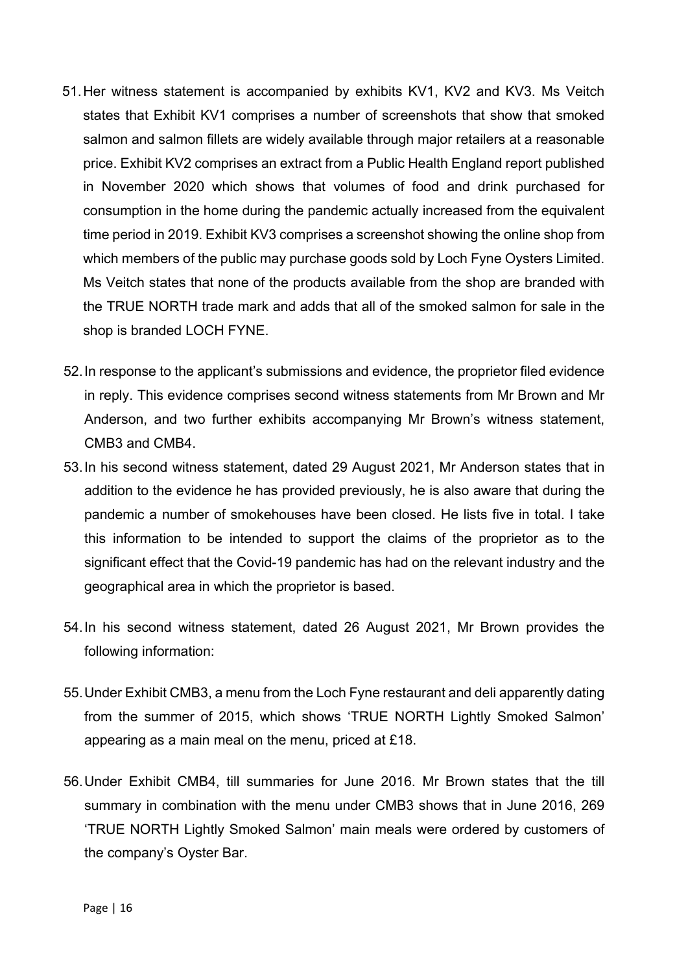- 51.Her witness statement is accompanied by exhibits KV1, KV2 and KV3. Ms Veitch states that Exhibit KV1 comprises a number of screenshots that show that smoked salmon and salmon fillets are widely available through major retailers at a reasonable price. Exhibit KV2 comprises an extract from a Public Health England report published in November 2020 which shows that volumes of food and drink purchased for consumption in the home during the pandemic actually increased from the equivalent time period in 2019. Exhibit KV3 comprises a screenshot showing the online shop from which members of the public may purchase goods sold by Loch Fyne Oysters Limited. Ms Veitch states that none of the products available from the shop are branded with the TRUE NORTH trade mark and adds that all of the smoked salmon for sale in the shop is branded LOCH FYNE.
- 52.In response to the applicant's submissions and evidence, the proprietor filed evidence in reply. This evidence comprises second witness statements from Mr Brown and Mr Anderson, and two further exhibits accompanying Mr Brown's witness statement, CMB3 and CMB4.
- 53.In his second witness statement, dated 29 August 2021, Mr Anderson states that in addition to the evidence he has provided previously, he is also aware that during the pandemic a number of smokehouses have been closed. He lists five in total. I take this information to be intended to support the claims of the proprietor as to the significant effect that the Covid-19 pandemic has had on the relevant industry and the geographical area in which the proprietor is based.
- 54.In his second witness statement, dated 26 August 2021, Mr Brown provides the following information:
- 55.Under Exhibit CMB3, a menu from the Loch Fyne restaurant and deli apparently dating from the summer of 2015, which shows 'TRUE NORTH Lightly Smoked Salmon' appearing as a main meal on the menu, priced at £18.
- 56.Under Exhibit CMB4, till summaries for June 2016. Mr Brown states that the till summary in combination with the menu under CMB3 shows that in June 2016, 269 'TRUE NORTH Lightly Smoked Salmon' main meals were ordered by customers of the company's Oyster Bar.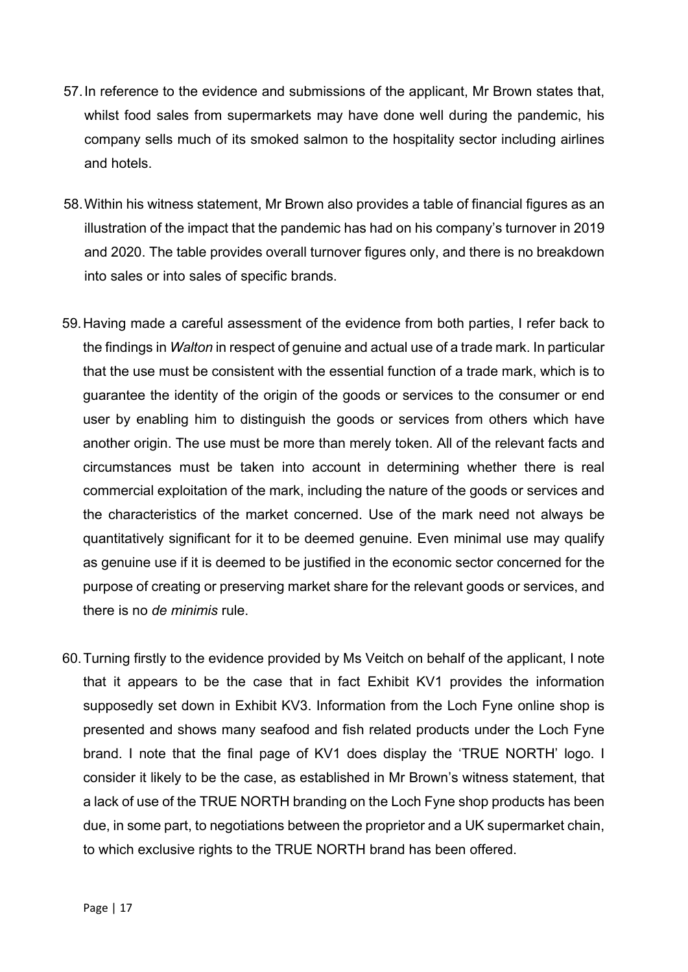- 57.In reference to the evidence and submissions of the applicant, Mr Brown states that, whilst food sales from supermarkets may have done well during the pandemic, his company sells much of its smoked salmon to the hospitality sector including airlines and hotels.
- 58.Within his witness statement, Mr Brown also provides a table of financial figures as an illustration of the impact that the pandemic has had on his company's turnover in 2019 and 2020. The table provides overall turnover figures only, and there is no breakdown into sales or into sales of specific brands.
- 59.Having made a careful assessment of the evidence from both parties, I refer back to the findings in *Walton* in respect of genuine and actual use of a trade mark. In particular that the use must be consistent with the essential function of a trade mark, which is to guarantee the identity of the origin of the goods or services to the consumer or end user by enabling him to distinguish the goods or services from others which have another origin. The use must be more than merely token. All of the relevant facts and circumstances must be taken into account in determining whether there is real commercial exploitation of the mark, including the nature of the goods or services and the characteristics of the market concerned. Use of the mark need not always be quantitatively significant for it to be deemed genuine. Even minimal use may qualify as genuine use if it is deemed to be justified in the economic sector concerned for the purpose of creating or preserving market share for the relevant goods or services, and there is no *de minimis* rule.
- 60.Turning firstly to the evidence provided by Ms Veitch on behalf of the applicant, I note that it appears to be the case that in fact Exhibit KV1 provides the information supposedly set down in Exhibit KV3. Information from the Loch Fyne online shop is presented and shows many seafood and fish related products under the Loch Fyne brand. I note that the final page of KV1 does display the 'TRUE NORTH' logo. I consider it likely to be the case, as established in Mr Brown's witness statement, that a lack of use of the TRUE NORTH branding on the Loch Fyne shop products has been due, in some part, to negotiations between the proprietor and a UK supermarket chain, to which exclusive rights to the TRUE NORTH brand has been offered.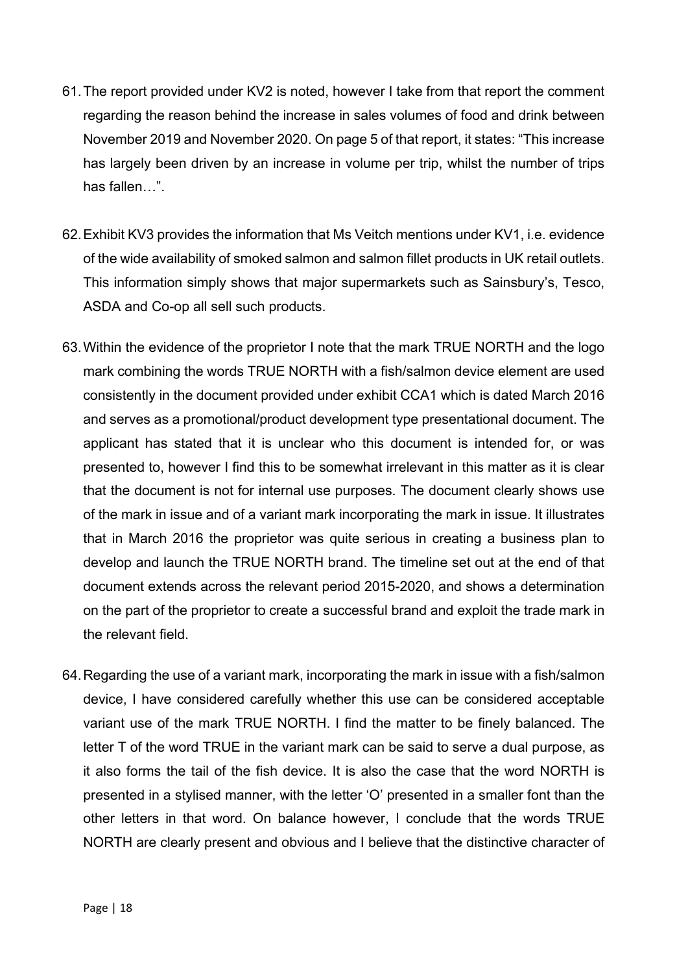- 61.The report provided under KV2 is noted, however I take from that report the comment regarding the reason behind the increase in sales volumes of food and drink between November 2019 and November 2020. On page 5 of that report, it states: "This increase has largely been driven by an increase in volume per trip, whilst the number of trips has fallen…".
- 62.Exhibit KV3 provides the information that Ms Veitch mentions under KV1, i.e. evidence of the wide availability of smoked salmon and salmon fillet products in UK retail outlets. This information simply shows that major supermarkets such as Sainsbury's, Tesco, ASDA and Co-op all sell such products.
- 63.Within the evidence of the proprietor I note that the mark TRUE NORTH and the logo mark combining the words TRUE NORTH with a fish/salmon device element are used consistently in the document provided under exhibit CCA1 which is dated March 2016 and serves as a promotional/product development type presentational document. The applicant has stated that it is unclear who this document is intended for, or was presented to, however I find this to be somewhat irrelevant in this matter as it is clear that the document is not for internal use purposes. The document clearly shows use of the mark in issue and of a variant mark incorporating the mark in issue. It illustrates that in March 2016 the proprietor was quite serious in creating a business plan to develop and launch the TRUE NORTH brand. The timeline set out at the end of that document extends across the relevant period 2015-2020, and shows a determination on the part of the proprietor to create a successful brand and exploit the trade mark in the relevant field.
- 64.Regarding the use of a variant mark, incorporating the mark in issue with a fish/salmon device, I have considered carefully whether this use can be considered acceptable variant use of the mark TRUE NORTH. I find the matter to be finely balanced. The letter T of the word TRUE in the variant mark can be said to serve a dual purpose, as it also forms the tail of the fish device. It is also the case that the word NORTH is presented in a stylised manner, with the letter 'O' presented in a smaller font than the other letters in that word. On balance however, I conclude that the words TRUE NORTH are clearly present and obvious and I believe that the distinctive character of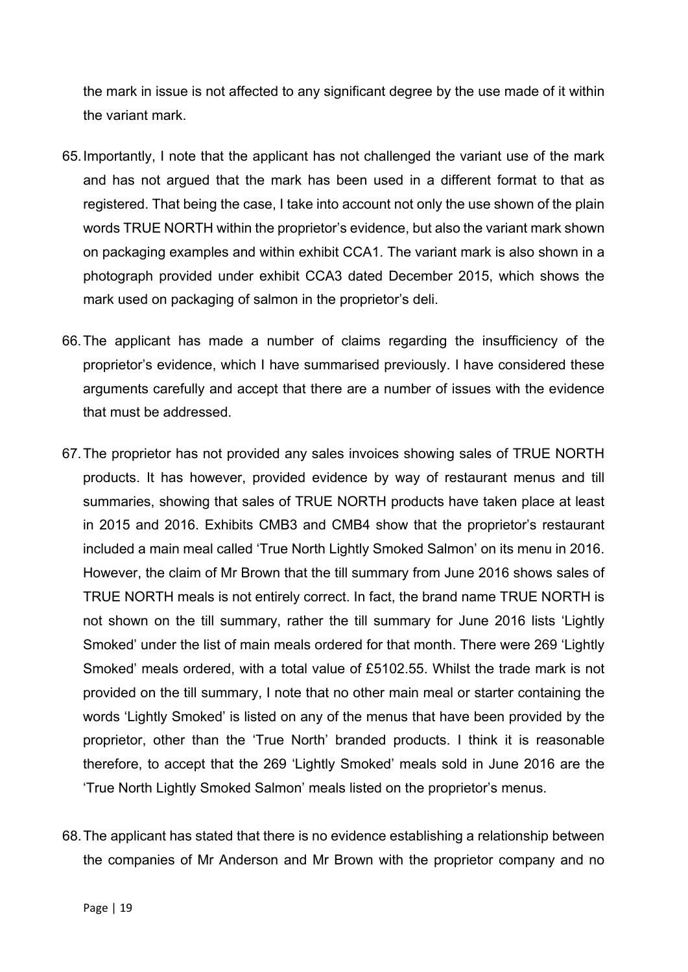the mark in issue is not affected to any significant degree by the use made of it within the variant mark.

- 65.Importantly, I note that the applicant has not challenged the variant use of the mark and has not argued that the mark has been used in a different format to that as registered. That being the case, I take into account not only the use shown of the plain words TRUE NORTH within the proprietor's evidence, but also the variant mark shown on packaging examples and within exhibit CCA1. The variant mark is also shown in a photograph provided under exhibit CCA3 dated December 2015, which shows the mark used on packaging of salmon in the proprietor's deli.
- 66.The applicant has made a number of claims regarding the insufficiency of the proprietor's evidence, which I have summarised previously. I have considered these arguments carefully and accept that there are a number of issues with the evidence that must be addressed.
- 67.The proprietor has not provided any sales invoices showing sales of TRUE NORTH products. It has however, provided evidence by way of restaurant menus and till summaries, showing that sales of TRUE NORTH products have taken place at least in 2015 and 2016. Exhibits CMB3 and CMB4 show that the proprietor's restaurant included a main meal called 'True North Lightly Smoked Salmon' on its menu in 2016. However, the claim of Mr Brown that the till summary from June 2016 shows sales of TRUE NORTH meals is not entirely correct. In fact, the brand name TRUE NORTH is not shown on the till summary, rather the till summary for June 2016 lists 'Lightly Smoked' under the list of main meals ordered for that month. There were 269 'Lightly Smoked' meals ordered, with a total value of £5102.55. Whilst the trade mark is not provided on the till summary, I note that no other main meal or starter containing the words 'Lightly Smoked' is listed on any of the menus that have been provided by the proprietor, other than the 'True North' branded products. I think it is reasonable therefore, to accept that the 269 'Lightly Smoked' meals sold in June 2016 are the 'True North Lightly Smoked Salmon' meals listed on the proprietor's menus.
- 68.The applicant has stated that there is no evidence establishing a relationship between the companies of Mr Anderson and Mr Brown with the proprietor company and no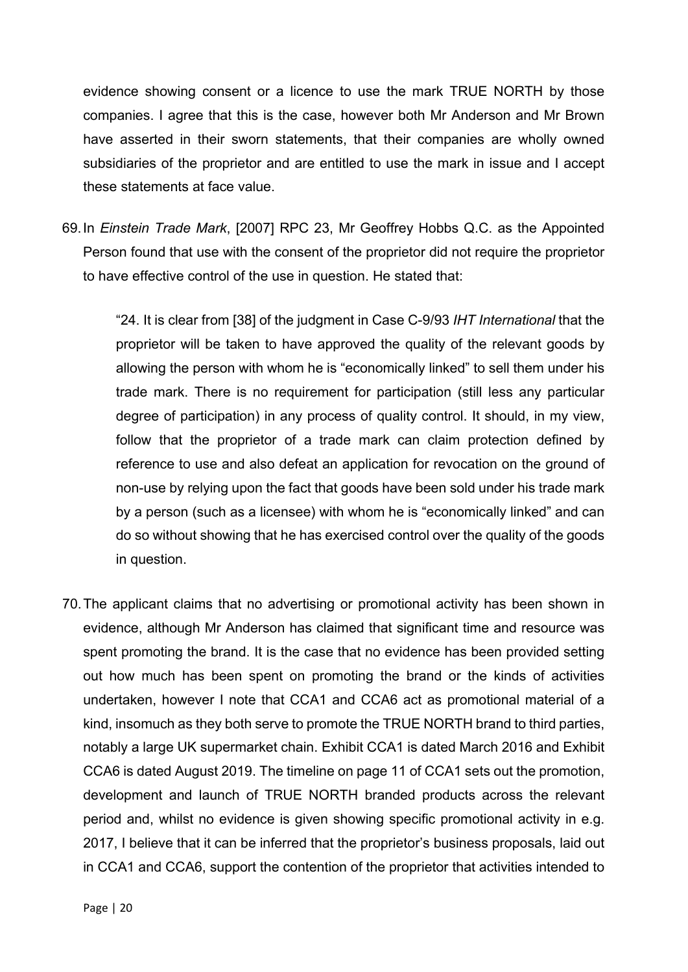evidence showing consent or a licence to use the mark TRUE NORTH by those companies. I agree that this is the case, however both Mr Anderson and Mr Brown have asserted in their sworn statements, that their companies are wholly owned subsidiaries of the proprietor and are entitled to use the mark in issue and I accept these statements at face value.

69.In *Einstein Trade Mark*, [2007] RPC 23, Mr Geoffrey Hobbs Q.C. as the Appointed Person found that use with the consent of the proprietor did not require the proprietor to have effective control of the use in question. He stated that:

"24. It is clear from [38] of the judgment in Case C-9/93 *IHT International* that the proprietor will be taken to have approved the quality of the relevant goods by allowing the person with whom he is "economically linked" to sell them under his trade mark. There is no requirement for participation (still less any particular degree of participation) in any process of quality control. It should, in my view, follow that the proprietor of a trade mark can claim protection defined by reference to use and also defeat an application for revocation on the ground of non-use by relying upon the fact that goods have been sold under his trade mark by a person (such as a licensee) with whom he is "economically linked" and can do so without showing that he has exercised control over the quality of the goods in question.

70.The applicant claims that no advertising or promotional activity has been shown in evidence, although Mr Anderson has claimed that significant time and resource was spent promoting the brand. It is the case that no evidence has been provided setting out how much has been spent on promoting the brand or the kinds of activities undertaken, however I note that CCA1 and CCA6 act as promotional material of a kind, insomuch as they both serve to promote the TRUE NORTH brand to third parties, notably a large UK supermarket chain. Exhibit CCA1 is dated March 2016 and Exhibit CCA6 is dated August 2019. The timeline on page 11 of CCA1 sets out the promotion, development and launch of TRUE NORTH branded products across the relevant period and, whilst no evidence is given showing specific promotional activity in e.g. 2017, I believe that it can be inferred that the proprietor's business proposals, laid out in CCA1 and CCA6, support the contention of the proprietor that activities intended to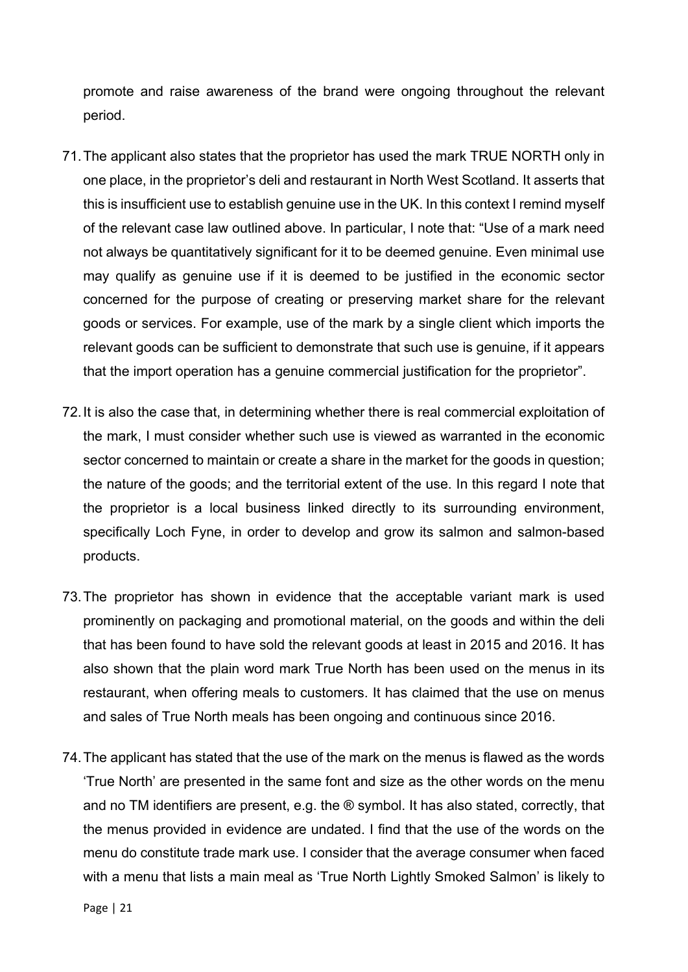promote and raise awareness of the brand were ongoing throughout the relevant period.

- 71.The applicant also states that the proprietor has used the mark TRUE NORTH only in one place, in the proprietor's deli and restaurant in North West Scotland. It asserts that this is insufficient use to establish genuine use in the UK. In this context I remind myself of the relevant case law outlined above. In particular, I note that: "Use of a mark need not always be quantitatively significant for it to be deemed genuine. Even minimal use may qualify as genuine use if it is deemed to be justified in the economic sector concerned for the purpose of creating or preserving market share for the relevant goods or services. For example, use of the mark by a single client which imports the relevant goods can be sufficient to demonstrate that such use is genuine, if it appears that the import operation has a genuine commercial justification for the proprietor".
- 72.It is also the case that, in determining whether there is real commercial exploitation of the mark, I must consider whether such use is viewed as warranted in the economic sector concerned to maintain or create a share in the market for the goods in question; the nature of the goods; and the territorial extent of the use. In this regard I note that the proprietor is a local business linked directly to its surrounding environment, specifically Loch Fyne, in order to develop and grow its salmon and salmon-based products.
- 73.The proprietor has shown in evidence that the acceptable variant mark is used prominently on packaging and promotional material, on the goods and within the deli that has been found to have sold the relevant goods at least in 2015 and 2016. It has also shown that the plain word mark True North has been used on the menus in its restaurant, when offering meals to customers. It has claimed that the use on menus and sales of True North meals has been ongoing and continuous since 2016.
- 74.The applicant has stated that the use of the mark on the menus is flawed as the words 'True North' are presented in the same font and size as the other words on the menu and no TM identifiers are present, e.g. the ® symbol. It has also stated, correctly, that the menus provided in evidence are undated. I find that the use of the words on the menu do constitute trade mark use. I consider that the average consumer when faced with a menu that lists a main meal as 'True North Lightly Smoked Salmon' is likely to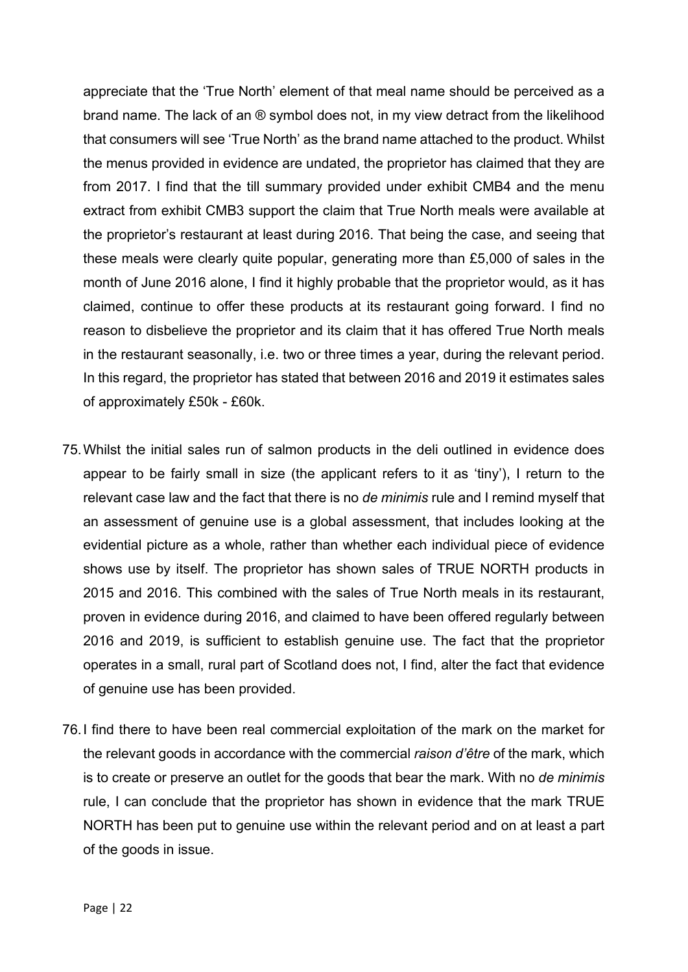appreciate that the 'True North' element of that meal name should be perceived as a brand name. The lack of an ® symbol does not, in my view detract from the likelihood that consumers will see 'True North' as the brand name attached to the product. Whilst the menus provided in evidence are undated, the proprietor has claimed that they are from 2017. I find that the till summary provided under exhibit CMB4 and the menu extract from exhibit CMB3 support the claim that True North meals were available at the proprietor's restaurant at least during 2016. That being the case, and seeing that these meals were clearly quite popular, generating more than £5,000 of sales in the month of June 2016 alone, I find it highly probable that the proprietor would, as it has claimed, continue to offer these products at its restaurant going forward. I find no reason to disbelieve the proprietor and its claim that it has offered True North meals in the restaurant seasonally, i.e. two or three times a year, during the relevant period. In this regard, the proprietor has stated that between 2016 and 2019 it estimates sales of approximately £50k - £60k.

- 75.Whilst the initial sales run of salmon products in the deli outlined in evidence does appear to be fairly small in size (the applicant refers to it as 'tiny'), I return to the relevant case law and the fact that there is no *de minimis* rule and I remind myself that an assessment of genuine use is a global assessment, that includes looking at the evidential picture as a whole, rather than whether each individual piece of evidence shows use by itself. The proprietor has shown sales of TRUE NORTH products in 2015 and 2016. This combined with the sales of True North meals in its restaurant, proven in evidence during 2016, and claimed to have been offered regularly between 2016 and 2019, is sufficient to establish genuine use. The fact that the proprietor operates in a small, rural part of Scotland does not, I find, alter the fact that evidence of genuine use has been provided.
- 76.I find there to have been real commercial exploitation of the mark on the market for the relevant goods in accordance with the commercial *raison d'être* of the mark, which is to create or preserve an outlet for the goods that bear the mark. With no *de minimis* rule, I can conclude that the proprietor has shown in evidence that the mark TRUE NORTH has been put to genuine use within the relevant period and on at least a part of the goods in issue.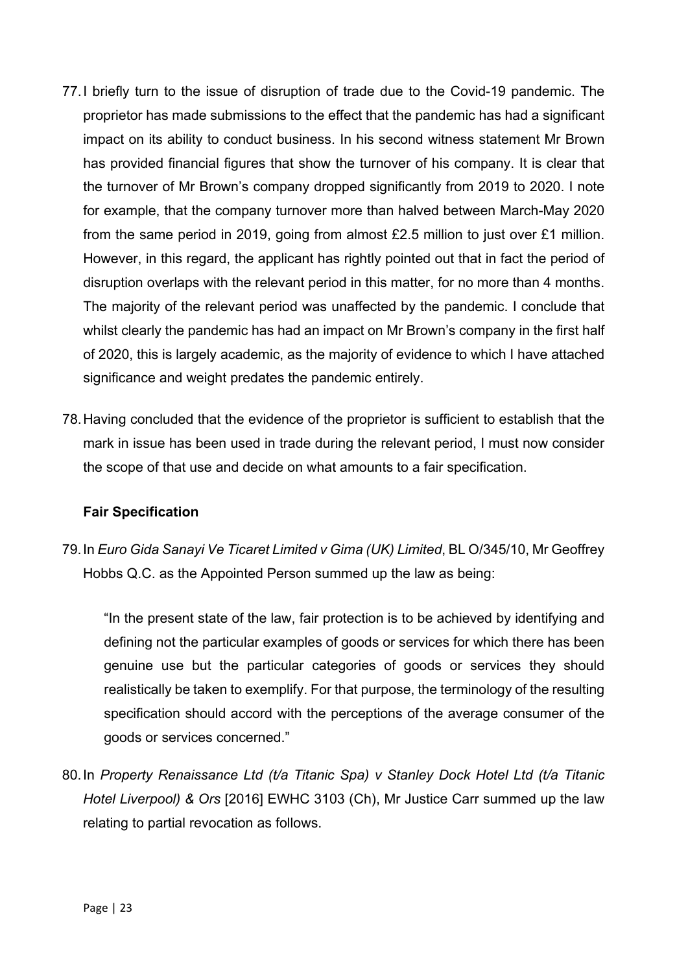- 77.I briefly turn to the issue of disruption of trade due to the Covid-19 pandemic. The proprietor has made submissions to the effect that the pandemic has had a significant impact on its ability to conduct business. In his second witness statement Mr Brown has provided financial figures that show the turnover of his company. It is clear that the turnover of Mr Brown's company dropped significantly from 2019 to 2020. I note for example, that the company turnover more than halved between March-May 2020 from the same period in 2019, going from almost £2.5 million to just over £1 million. However, in this regard, the applicant has rightly pointed out that in fact the period of disruption overlaps with the relevant period in this matter, for no more than 4 months. The majority of the relevant period was unaffected by the pandemic. I conclude that whilst clearly the pandemic has had an impact on Mr Brown's company in the first half of 2020, this is largely academic, as the majority of evidence to which I have attached significance and weight predates the pandemic entirely.
- 78.Having concluded that the evidence of the proprietor is sufficient to establish that the mark in issue has been used in trade during the relevant period, I must now consider the scope of that use and decide on what amounts to a fair specification.

#### **Fair Specification**

79.In *Euro Gida Sanayi Ve Ticaret Limited v Gima (UK) Limited*, BL O/345/10, Mr Geoffrey Hobbs Q.C. as the Appointed Person summed up the law as being:

"In the present state of the law, fair protection is to be achieved by identifying and defining not the particular examples of goods or services for which there has been genuine use but the particular categories of goods or services they should realistically be taken to exemplify. For that purpose, the terminology of the resulting specification should accord with the perceptions of the average consumer of the goods or services concerned."

80.In *Property Renaissance Ltd (t/a Titanic Spa) v Stanley Dock Hotel Ltd (t/a Titanic Hotel Liverpool) & Ors* [2016] EWHC 3103 (Ch), Mr Justice Carr summed up the law relating to partial revocation as follows.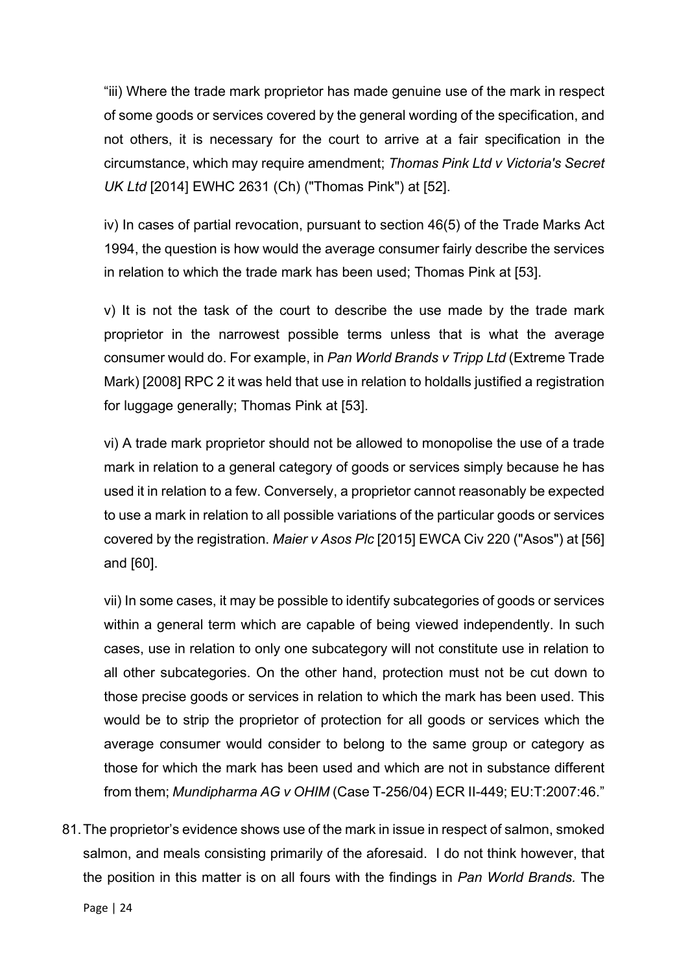"iii) Where the trade mark proprietor has made genuine use of the mark in respect of some goods or services covered by the general wording of the specification, and not others, it is necessary for the court to arrive at a fair specification in the circumstance, which may require amendment; *Thomas Pink Ltd v Victoria's Secret UK Ltd* [2014] EWHC 2631 (Ch) ("Thomas Pink") at [52].

iv) In cases of partial revocation, pursuant to section 46(5) of the Trade Marks Act 1994, the question is how would the average consumer fairly describe the services in relation to which the trade mark has been used; Thomas Pink at [53].

v) It is not the task of the court to describe the use made by the trade mark proprietor in the narrowest possible terms unless that is what the average consumer would do. For example, in *Pan World Brands v Tripp Ltd* (Extreme Trade Mark) [2008] RPC 2 it was held that use in relation to holdalls justified a registration for luggage generally; Thomas Pink at [53].

vi) A trade mark proprietor should not be allowed to monopolise the use of a trade mark in relation to a general category of goods or services simply because he has used it in relation to a few. Conversely, a proprietor cannot reasonably be expected to use a mark in relation to all possible variations of the particular goods or services covered by the registration. *Maier v Asos Plc* [2015] EWCA Civ 220 ("Asos") at [56] and [60].

vii) In some cases, it may be possible to identify subcategories of goods or services within a general term which are capable of being viewed independently. In such cases, use in relation to only one subcategory will not constitute use in relation to all other subcategories. On the other hand, protection must not be cut down to those precise goods or services in relation to which the mark has been used. This would be to strip the proprietor of protection for all goods or services which the average consumer would consider to belong to the same group or category as those for which the mark has been used and which are not in substance different from them; *Mundipharma AG v OHIM* (Case T-256/04) ECR II-449; EU:T:2007:46."

81.The proprietor's evidence shows use of the mark in issue in respect of salmon, smoked salmon, and meals consisting primarily of the aforesaid. I do not think however, that the position in this matter is on all fours with the findings in *Pan World Brands.* The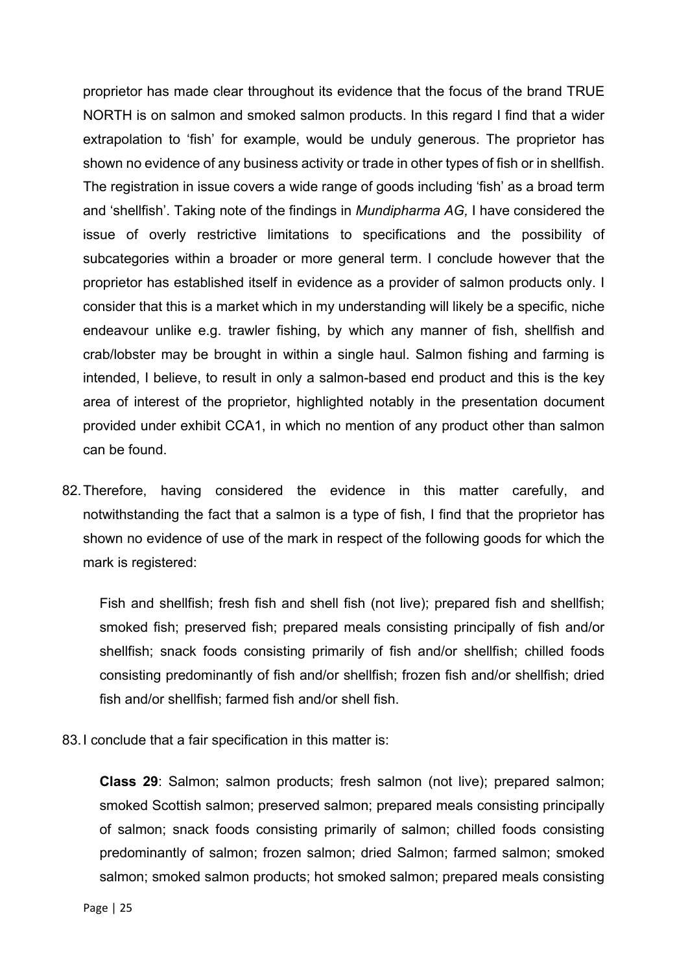proprietor has made clear throughout its evidence that the focus of the brand TRUE NORTH is on salmon and smoked salmon products. In this regard I find that a wider extrapolation to 'fish' for example, would be unduly generous. The proprietor has shown no evidence of any business activity or trade in other types of fish or in shellfish. The registration in issue covers a wide range of goods including 'fish' as a broad term and 'shellfish'. Taking note of the findings in *Mundipharma AG,* I have considered the issue of overly restrictive limitations to specifications and the possibility of subcategories within a broader or more general term. I conclude however that the proprietor has established itself in evidence as a provider of salmon products only. I consider that this is a market which in my understanding will likely be a specific, niche endeavour unlike e.g. trawler fishing, by which any manner of fish, shellfish and crab/lobster may be brought in within a single haul. Salmon fishing and farming is intended, I believe, to result in only a salmon-based end product and this is the key area of interest of the proprietor, highlighted notably in the presentation document provided under exhibit CCA1, in which no mention of any product other than salmon can be found.

82.Therefore, having considered the evidence in this matter carefully, and notwithstanding the fact that a salmon is a type of fish, I find that the proprietor has shown no evidence of use of the mark in respect of the following goods for which the mark is registered:

Fish and shellfish; fresh fish and shell fish (not live); prepared fish and shellfish; smoked fish; preserved fish; prepared meals consisting principally of fish and/or shellfish; snack foods consisting primarily of fish and/or shellfish; chilled foods consisting predominantly of fish and/or shellfish; frozen fish and/or shellfish; dried fish and/or shellfish; farmed fish and/or shell fish.

83. I conclude that a fair specification in this matter is:

**Class 29**: Salmon; salmon products; fresh salmon (not live); prepared salmon; smoked Scottish salmon; preserved salmon; prepared meals consisting principally of salmon; snack foods consisting primarily of salmon; chilled foods consisting predominantly of salmon; frozen salmon; dried Salmon; farmed salmon; smoked salmon; smoked salmon products; hot smoked salmon; prepared meals consisting